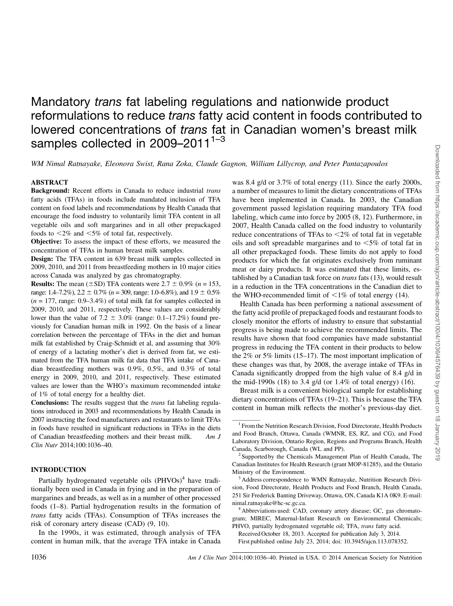# Mandatory *trans* fat labeling regulations and nationwide product reformulations to reduce *trans* fatty acid content in foods contributed to lowered concentrations of *trans* fat in Canadian women's breast milk samples collected in 2009-2011<sup>1-3</sup>

WM Nimal Ratnayake, Eleonora Swist, Rana Zoka, Claude Gagnon, William Lillycrop, and Peter Pantazapoulos

# ABSTRACT

Background: Recent efforts in Canada to reduce industrial trans fatty acids (TFAs) in foods include mandated inclusion of TFA content on food labels and recommendations by Health Canada that encourage the food industry to voluntarily limit TFA content in all vegetable oils and soft margarines and in all other prepackaged foods to  $\leq$ 2% and  $\leq$ 5% of total fat, respectively.

Objective: To assess the impact of these efforts, we measured the concentration of TFAs in human breast milk samples.

Design: The TFA content in 639 breast milk samples collected in 2009, 2010, and 2011 from breastfeeding mothers in 10 major cities across Canada was analyzed by gas chromatography.

**Results:** The mean ( $\pm$ SD) TFA contents were 2.7  $\pm$  0.9% (n = 153, range: 1.4–7.2%),  $2.2 \pm 0.7\%$  ( $n = 309$ , range: 1.0–6.8%), and  $1.9 \pm 0.5\%$  $(n = 177, \text{ range: } 0.9 - 3.4\%)$  of total milk fat for samples collected in 2009, 2010, and 2011, respectively. These values are considerably lower than the value of 7.2  $\pm$  3.0% (range: 0.1–17.2%) found previously for Canadian human milk in 1992. On the basis of a linear correlation between the percentage of TFAs in the diet and human milk fat established by Craig-Schmidt et al, and assuming that 30% of energy of a lactating mother's diet is derived from fat, we estimated from the TFA human milk fat data that TFA intake of Canadian breastfeeding mothers was 0.9%, 0.5%, and 0.3% of total energy in 2009, 2010, and 2011, respectively. These estimated values are lower than the WHO's maximum recommended intake of 1% of total energy for a healthy diet.

Conclusions: The results suggest that the *trans* fat labeling regulations introduced in 2003 and recommendations by Health Canada in 2007 instructing the food manufacturers and restaurants to limit TFAs in foods have resulted in significant reductions in TFAs in the diets of Canadian breastfeeding mothers and their breast milk. Am J Clin Nutr 2014;100:1036–40.

# INTRODUCTION

Partially hydrogenated vegetable oils  $(PHVOs)^4$  have traditionally been used in Canada in frying and in the preparation of margarines and breads, as well as in a number of other processed foods (1–8). Partial hydrogenation results in the formation of trans fatty acids (TFAs). Consumption of TFAs increases the risk of coronary artery disease (CAD) (9, 10).

In the 1990s, it was estimated, through analysis of TFA content in human milk, that the average TFA intake in Canada

was 8.4 g/d or 3.7% of total energy (11). Since the early 2000s, a number of measures to limit the dietary concentrations of TFAs have been implemented in Canada. In 2003, the Canadian government passed legislation requiring mandatory TFA food labeling, which came into force by 2005 (8, 12). Furthermore, in 2007, Health Canada called on the food industry to voluntarily reduce concentrations of TFAs to  $\leq 2\%$  of total fat in vegetable oils and soft spreadable margarines and to  $\leq 5\%$  of total fat in all other prepackaged foods. These limits do not apply to food products for which the fat originates exclusively from ruminant meat or dairy products. It was estimated that these limits, established by a Canadian task force on trans fats (13), would result in a reduction in the TFA concentrations in the Canadian diet to the WHO-recommended limit of  $\leq 1\%$  of total energy (14).

Health Canada has been performing a national assessment of the fatty acid profile of prepackaged foods and restaurant foods to closely monitor the efforts of industry to ensure that substantial progress is being made to achieve the recommended limits. The results have shown that food companies have made substantial progress in reducing the TFA content in their products to below the 2% or 5% limits (15–17). The most important implication of these changes was that, by 2008, the average intake of TFAs in Canada significantly dropped from the high value of 8.4 g/d in the mid-1990s (18) to 3.4 g/d (or  $1.4\%$  of total energy) (16).

Breast milk is a convenient biological sample for establishing dietary concentrations of TFAs (19–21). This is because the TFA content in human milk reflects the mother's previous-day diet.

Received October 18, 2013. Accepted for publication July 3, 2014. First published online July 23, 2014; doi: 10.3945/ajcn.113.078352.

<sup>&</sup>lt;sup>1</sup> From the Nutrition Research Division, Food Directorate, Health Products and Food Branch, Ottawa, Canada (WMNR, ES, RZ, and CG), and Food Laboratory Division, Ontario Region, Regions and Programs Branch, Health Canada, Scarborough, Canada (WL and PP). <sup>2</sup> Supported by the Chemicals Management Plan of Health Canada, The

Canadian Institutes for Health Research (grant MOP-81285), and the Ontario Ministry of the Environment.

<sup>&</sup>lt;sup>3</sup> Address correspondence to WMN Ratnayake, Nutrition Research Division, Food Directorate, Health Products and Food Branch, Health Canada, 251 Sir Frederick Banting Driveway, Ottawa, ON, Canada K1A 0K9. E-mail: nimal.ratnayake@hc-sc.gc.ca.

<sup>&</sup>lt;sup>4</sup> Abbreviations used: CAD, coronary artery disease; GC, gas chromatogram; MIREC, Maternal-Infant Research on Environmental Chemicals; PHVO, partially hydrogenated vegetable oil; TFA, trans fatty acid.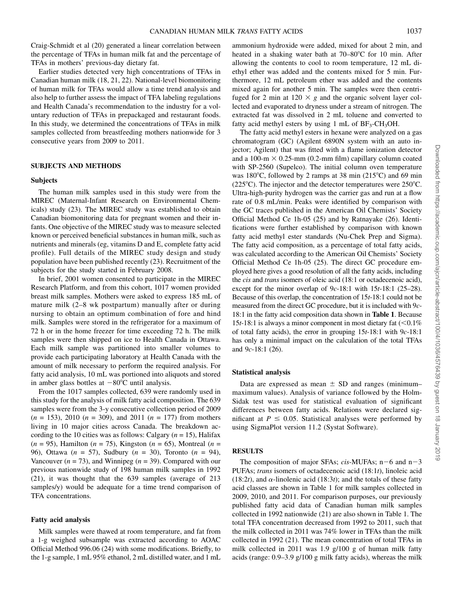Craig-Schmidt et al (20) generated a linear correlation between the percentage of TFAs in human milk fat and the percentage of TFAs in mothers' previous-day dietary fat.

Earlier studies detected very high concentrations of TFAs in Canadian human milk (18, 21, 22). National-level biomonitoring of human milk for TFAs would allow a time trend analysis and also help to further assess the impact of TFA labeling regulations and Health Canada's recommendation to the industry for a voluntary reduction of TFAs in prepackaged and restaurant foods. In this study, we determined the concentrations of TFAs in milk samples collected from breastfeeding mothers nationwide for 3 consecutive years from 2009 to 2011.

### SUBJECTS AND METHODS

#### Subjects

The human milk samples used in this study were from the MIREC (Maternal-Infant Research on Environmental Chemicals) study (23). The MIREC study was established to obtain Canadian biomonitoring data for pregnant women and their infants. One objective of the MIREC study was to measure selected known or perceived beneficial substances in human milk, such as nutrients and minerals (eg, vitamins D and E, complete fatty acid profile). Full details of the MIREC study design and study population have been published recently (23). Recruitment of the subjects for the study started in February 2008.

In brief, 2001 women consented to participate in the MIREC Research Platform, and from this cohort, 1017 women provided breast milk samples. Mothers were asked to express 185 mL of mature milk (2–8 wk postpartum) manually after or during nursing to obtain an optimum combination of fore and hind milk. Samples were stored in the refrigerator for a maximum of 72 h or in the home freezer for time exceeding 72 h. The milk samples were then shipped on ice to Health Canada in Ottawa. Each milk sample was partitioned into smaller volumes to provide each participating laboratory at Health Canada with the amount of milk necessary to perform the required analysis. For fatty acid analysis, 10 mL was portioned into aliquots and stored in amber glass bottles at  $-80^{\circ}$ C until analysis.

From the 1017 samples collected, 639 were randomly used in this study for the analysis of milk fatty acid composition. The 639 samples were from the 3-y consecutive collection period of 2009  $(n = 153)$ , 2010  $(n = 309)$ , and 2011  $(n = 177)$  from mothers living in 10 major cities across Canada. The breakdown according to the 10 cities was as follows: Calgary ( $n = 15$ ), Halifax  $(n = 95)$ , Hamilton  $(n = 75)$ , Kingston  $(n = 65)$ , Montreal  $(n = 15)$ 96), Ottawa ( $n = 57$ ), Sudbury ( $n = 30$ ), Toronto ( $n = 94$ ), Vancouver ( $n = 73$ ), and Winnipeg ( $n = 39$ ). Compared with our previous nationwide study of 198 human milk samples in 1992 (21), it was thought that the 639 samples (average of 213 samples/y) would be adequate for a time trend comparison of TFA concentrations.

#### Fatty acid analysis

Milk samples were thawed at room temperature, and fat from a 1-g weighed subsample was extracted according to AOAC Official Method 996.06 (24) with some modifications. Briefly, to the 1-g sample, 1 mL 95% ethanol, 2 mL distilled water, and 1 mL

ammonium hydroxide were added, mixed for about 2 min, and heated in a shaking water bath at  $70-80^{\circ}$ C for 10 min. After allowing the contents to cool to room temperature, 12 mL diethyl ether was added and the contents mixed for 5 min. Furthermore, 12 mL petroleum ether was added and the contents mixed again for another 5 min. The samples were then centrifuged for 2 min at  $120 \times g$  and the organic solvent layer collected and evaporated to dryness under a stream of nitrogen. The extracted fat was dissolved in 2 mL toluene and converted to fatty acid methyl esters by using 1 mL of  $BF_3-CH_3OH$ .

The fatty acid methyl esters in hexane were analyzed on a gas chromatogram (GC) (Agilent 6890N system with an auto injector; Agilent) that was fitted with a flame ionization detector and a 100-m  $\times$  0.25-mm (0.2-mm film) capillary column coated with SP-2560 (Supelco). The initial column oven temperature was 180 $^{\circ}$ C, followed by 2 ramps at 38 min (215 $^{\circ}$ C) and 69 min  $(225^{\circ}C)$ . The injector and the detector temperatures were 250 $^{\circ}C$ . Ultra-high-purity hydrogen was the carrier gas and run at a flow rate of 0.8 mL/min. Peaks were identified by comparison with the GC traces published in the American Oil Chemists' Society Official Method Ce 1h-05 (25) and by Ratnayake (26). Identifications were further established by comparison with known fatty acid methyl ester standards (Nu-Chek Prep and Sigma). The fatty acid composition, as a percentage of total fatty acids, was calculated according to the American Oil Chemists' Society Official Method Ce 1h-05 (25). The direct GC procedure employed here gives a good resolution of all the fatty acids, including the *cis* and *trans* isomers of oleic acid (18:1 or octadecenoic acid), except for the minor overlap of  $9c-18:1$  with  $15t-18:1$  (25–28). Because of this overlap, the concentration of 15t-18:1 could not be measured from the direct GC procedure, but it is included with 9c-18:1 in the fatty acid composition data shown in Table 1. Because 15t-18:1 is always a minor component in most dietary fat  $(< 0.1\%$ of total fatty acids), the error in grouping  $15t-18:1$  with  $9c-18:1$ has only a minimal impact on the calculation of the total TFAs and 9c-18:1 (26).

## Statistical analysis

Data are expressed as mean  $\pm$  SD and ranges (minimum– maximum values). Analysis of variance followed by the Holm-Sidak test was used for statistical evaluation of significant differences between fatty acids. Relations were declared significant at  $P \le 0.05$ . Statistical analyses were performed by using SigmaPlot version 11.2 (Systat Software).

# **RESULTS**

The composition of major SFAs; cis-MUFAs;  $n-6$  and  $n-3$ PUFAs; trans isomers of octadecenoic acid (18:1t), linoleic acid (18:2t), and  $\alpha$ -linolenic acid (18:3t); and the totals of these fatty acid classes are shown in Table 1 for milk samples collected in 2009, 2010, and 2011. For comparison purposes, our previously published fatty acid data of Canadian human milk samples collected in 1992 nationwide (21) are also shown in Table 1. The total TFA concentration decreased from 1992 to 2011, such that the milk collected in 2011 was 74% lower in TFAs than the milk collected in 1992 (21). The mean concentration of total TFAs in milk collected in 2011 was 1.9 g/100 g of human milk fatty acids (range: 0.9–3.9 g/100 g milk fatty acids), whereas the milk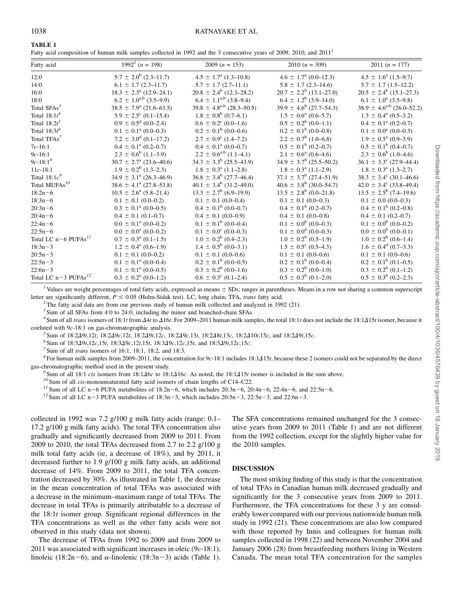Fatty acid composition of human milk samples collected in 1992 and the 3 consecutive years of 2009, 2010, and 2011<sup>1</sup>

| Fatty acid                         | $1992^2$ ( <i>n</i> = 198)                   | 2009 $(n = 153)$                            | 2010 $(n = 309)$                             | 2011 $(n = 177)$                            |
|------------------------------------|----------------------------------------------|---------------------------------------------|----------------------------------------------|---------------------------------------------|
| 12:0                               | $5.7 \pm 2.0^b$ (2.3–11.7)                   | $4.5 \pm 1.7^{\rm a}$ (1.3–10.8)            | $4.6 \pm 1.7^{\text{a}} (0.0{\text{-}}12.3)$ | $4.5 \pm 1.6^{\circ}$ (1.5–9.7)             |
| 14:0                               | $6.1 \pm 1.7$ (2.3–11.7)                     | $5.7 \pm 1.7$ (2.7-11.1)                    | $5.8 \pm 1.7$ (2.3-14.6)                     | $5.7 \pm 1.7$ (1.5–12.2)                    |
| 16:0                               | $18.3 \pm 2.3^{\circ}$ (12.9–24.1)           | $20.8 \pm 2.4^b$ (12.3–28.2)                | $20.7 \pm 2.2^b$ (13.1–27.0)                 | $20.5 \pm 2.4^b$ (15.1–27.3)                |
| 18:0                               | $6.2 \pm 1.0^{a,b}$ (3.5–9.9)                | $6.4 \pm 1.1^{\text{a,b}}$ (3.8–9.4)        | $6.4 \pm 1.2^b$ (3.9–14.0)                   | $6.1 \pm 1.0^{\circ}$ (3.5–9.8)             |
| Total SFAs <sup>3</sup>            | $38.5 \pm 7.9^{\circ}$ (21.6–63.5)           | $39.8 \pm 4.8^{a,b}$ (28.3–50.5)            | $39.9 \pm 4.6^b$ (27.7–54.3)                 | $38.9 \pm 4.6^{a,b}$ (26.0–52.2)            |
| Total $18:1t^4$                    | $5.9 \pm 2.5^{\circ}$ (0.1–15.4)             | $1.8 \pm 0.8^b$ (0.7–6.1)                   | $1.5 \pm 0.6^{\circ}$ (0.6–5.7)              | $1.3 \pm 0.4^{\text{a}} (0.5-3.2)$          |
| Total $18:2t^5$                    | $0.9 \pm 0.5^{\text{d}} (0.0{\text{--}}2.4)$ | $0.6 \pm 0.2^{\circ}$ (0.0–1.6)             | $0.5 \pm 0.2^b$ (0.0–1.1)                    | $0.4 \pm 0.1^{\circ}$ (0.2–0.7)             |
| Total $18:3t^6$                    | $0.1 \pm 0.1^{\text{a}} (0.0{\text{-}}0.3)$  | $0.2 \pm 0.1^b$ (0.0–0.6)                   | $0.2 \pm 0.1^b (0.0 - 0.8)$                  | $0.1 \pm 0.0^{\text{a}} (0.0{\text{-}}0.3)$ |
| Total TFAs <sup>7</sup>            | $7.2 \pm 3.0^d (0.1 - 17.2)$                 | $2.7 \pm 0.9^{\circ}$ (1.4–7.2)             | $2.2 \pm 0.7^b$ (1.0–6.8)                    | $1.9 \pm 0.5^{\text{a}}$ (0.9–3.9)          |
| $7c-16:1$                          | $0.4 \pm 0.1^{\text{a}} (0.2{\text{-}}0.7)$  | $0.4 \pm 0.1^{\text{a}} (0.0{\text{-}}0.7)$ | $0.5 \pm 0.1^b$ (0.2–0.7)                    | $0.5 \pm 0.1^b$ (0.4–0.7)                   |
| $9c-16:1$                          | $2.3 \pm 0.6^b$ (1.1–3.9)                    | $2.2 \pm 0.6^{a,b}$ (1.1–4.1)               | $2.1 \pm 0.6^{\circ}$ (0.6–4.6)              | $2.3 \pm 0.6^b$ (1.0–4.6)                   |
| $9c-18:1^8$                        | $30.7 \pm 2.7^{\circ}$ (23.6–40.6)           | $34.3 \pm 3.3^{b}$ (25.5–43.9)              | $34.9 \pm 3.7^b$ (25.5–50.2)                 | $36.1 \pm 3.3^{\circ}$ (27.9–44.4)          |
| $11c-18:1$                         | $1.9 \pm 0.2^b$ (1.3–2.3)                    | $1.8 \pm 0.3^{\text{a}}$ (1.1–2.8)          | $1.8 \pm 0.3^{\circ}$ (1.1–2.9)              | $1.8 \pm 0.3^{\circ}$ (1.3–2.7)             |
| Total $18:1c^9$                    | $34.9 \pm 3.1^a$ (26.3-46.9)                 | $36.8 \pm 3.4^b$ (27.7–46.4)                | $37.1 \pm 3.7^b$ (27.4–51.9)                 | $38.3 \pm 3.4^c$ (30.1–46.6)                |
| Total MUFAs <sup>10</sup>          | $38.6 \pm 4.1^{\circ} (27.8 - 53.8)$         | $40.1 \pm 3.4^b$ (31.2–49.0)                | $40.6 \pm 3.8^b$ (30.0–54.7)                 | $42.0 \pm 3.4^{\circ}$ (33.8–49.4)          |
| $18:2n-6$                          | $10.5 \pm 2.6^{\circ}$ (5.8–21.4)            | $13.3 \pm 2.7^b$ (6.9–19.9)                 | $13.5 \pm 2.8^b$ (0.0–21.8)                  | $13.5 \pm 2.5^b$ (7.4–19.6)                 |
| $18:3n-6$                          | $0.1 \pm 0.1$ (0.0–0.2)                      | $0.1 \pm 0.1$ (0.0–0.4)                     | $0.1 \pm 0.1$ (0.0–0.3)                      | $0.1 \pm 0.0$ (0.0–0.3)                     |
| $20:3n-6$                          | $0.3 \pm 0.1^{\text{a}} (0.0{\text{-}}0.5)$  | $0.4 \pm 0.1^b$ (0.0–0.7)                   | $0.4 \pm 0.1^b$ (0.2–0.7)                    | $0.4 \pm 0.1^b$ (0.2–0.8)                   |
| $20:4n-6$                          | $0.4 \pm 0.1$ (0.1–0.7)                      | $0.4 \pm 0.1$ (0.0–0.9)                     | $0.4 \pm 0.1$ (0.0–0.8)                      | $0.4 \pm 0.1$ (0.2–0.7)                     |
| $22:4n-6$                          | $0.0 \pm 0.1^{\text{a}} (0.0 - 0.2)$         | $0.1 \pm 0.1^b$ (0.0–0.4)                   | $0.1 \pm 0.0^b$ (0.0–0.3)                    | $0.1 \pm 0.0^b$ (0.0–0.2)                   |
| $22:5n-6$                          | $0.0 \pm 0.0^{\circ}$ (0.0–0.2)              | $0.1 \pm 0.0^{\circ}$ (0.0–0.3)             | $0.1 \pm 0.0^d$ (0.0–0.3)                    | $0.0 \pm 0.0^{b}$ (0.0–0.1)                 |
| Total LC $n-6$ PUFAs <sup>11</sup> | $0.7 \pm 0.3^{\text{a}} (0.1 - 1.5)$         | $1.0 \pm 0.2^b$ (0.4–2.3)                   | $1.0 \pm 0.2^b$ (0.5–1.9)                    | $1.0 \pm 0.2^b$ (0.6–1.4)                   |
| $18:3n-3$                          | $1.2 \pm 0.4^{\text{a}} (0.6{\text{-}}1.9)$  | $1.4 \pm 0.5^{b}$ (0.0–3.1)                 | $1.5 \pm 0.5^{\circ}$ (0.5–4.3)              | $1.6 \pm 0.4^d$ (0.7–3.3)                   |
| $20:5n-3$                          | $0.1 \pm 0.1$ (0.0–0.2)                      | $0.1 \pm 0.1$ (0.0–0.6)                     | $0.1 \pm 0.1$ (0.0–0.6)                      | $0.1 \pm 0.1$ (0.0–0.6)                     |
| $22:5n-3$                          | $0.1 \pm 0.1^{\text{a}} (0.0{\text{-}}0.4)$  | $0.2 \pm 0.1^b$ (0.0–0.5)                   | $0.2 \pm 0.1^b$ (0.0–0.4)                    | $0.2 \pm 0.1^b (0.1 - 0.5)$                 |
| $22:6n-3$                          | $0.1 \pm 0.1^{\text{a}} (0.0{\text{-}}0.5)$  | $0.3 \pm 0.2^b$ (0.0–1.6)                   | $0.3 \pm 0.2^b$ (0.0–1.0)                    | $0.3 \pm 0.2^b$ (0.1–1.2)                   |
| Total LC $n-3$ PUFAs <sup>12</sup> | $0.3 \pm 0.2^{\text{a}} (0.0 - 1.2)$         | $0.6 \pm 0.3^{\circ}$ (0.1–2.4)             | $0.5 \pm 0.3^b$ (0.1–2.0)                    | $0.5 \pm 0.3^b$ (0.2–2.3)                   |

<sup>1</sup> Values are weight percentages of total fatty acids, expressed as means  $\pm$  SDs; ranges in parentheses. Means in a row not sharing a common superscript letter are significantly different,  $P \le 0.05$  (Holm-Sidak test). LC, long chain; TFA, *trans* fatty acid. <sup>2</sup> The fatty acid data are from our previous study of human milk collected and analyzed in 1992 (21).

 $3$  Sum of all SFAs from 4:0 to 24:0, including the minor and branched-chain SFAs.

<sup>4</sup> Sum of all *trans* isomers of 18:1t from  $\Delta 4t$  to  $\Delta 16t$ . For 2009–2011 human milk samples, the total 18:1t does not include the 18:1 $\Delta 15t$  isomer, because it

coeluted with 9c-18:1 on gas-chromatographic analysis.<br>
<sup>5</sup> Sum of 18:2 $\Delta$ 9t,12t, 18:2 $\Delta$ 9c,12t, 18:2 $\Delta$ 9t,12c, 18:2 $\Delta$ 9c,13t, 18:2 $\Delta$ 8t,13c, 18:2 $\Delta$ 10t,15c, and 18:2 $\Delta$ 9t,15c.<br>
<sup>6</sup> Sum of 18:3 $\Delta$ 9t,12c,15t, 18:3gas-chromatographic method used in the present study.<br><sup>9</sup> Sum of all 18:1 *cis* isomers from 18:1 $\Delta$ 6*c* to 18:1 $\Delta$ 16*c*. As noted, the 18:1 $\Delta$ 15*t* isomer is included in the sum above.<br><sup>10</sup> Sum of all *cis*-monounsatu

collected in 1992 was 7.2 g/100 g milk fatty acids (range: 0.1– 17.2 g/100 g milk fatty acids). The total TFA concentration also gradually and significantly decreased from 2009 to 2011. From 2009 to 2010, the total TFAs decreased from 2.7 to 2.2 g/100 g milk total fatty acids (ie, a decrease of 18%), and by 2011, it decreased further to 1.9 g/100 g milk fatty acids, an additional decrease of 14%. From 2009 to 2011, the total TFA concentration decreased by 30%. As illustrated in Table 1, the decrease in the mean concentration of total TFAs was associated with a decrease in the minimum–maximum range of total TFAs. The decrease in total TFAs is primarily attributable to a decrease of the 18:1t isomer group. Significant regional differences in the TFA concentrations as well as the other fatty acids were not observed in this study (data not shown).

The decrease of TFAs from 1992 to 2009 and from 2009 to 2011 was associated with significant increases in oleic  $(9c-18:1)$ , linoleic (18:2n-6), and  $\alpha$ -linolenic (18:3n-3) acids (Table 1).

The SFA concentrations remained unchanged for the 3 consecutive years from 2009 to 2011 (Table 1) and are not different from the 1992 collection, except for the slightly higher value for the 2010 samples.

## DISCUSSION

The most striking finding of this study is that the concentration of total TFAs in Canadian human milk decreased gradually and significantly for the 3 consecutive years from 2009 to 2011. Furthermore, the TFA concentrations for these 3 y are considerably lower compared with our previous nationwide human milk study in 1992 (21). These concentrations are also low compared with those reported by Innis and colleagues for human milk samples collected in 1998 (22) and between November 2004 and January 2006 (28) from breastfeeding mothers living in Western Canada. The mean total TFA concentration for the samples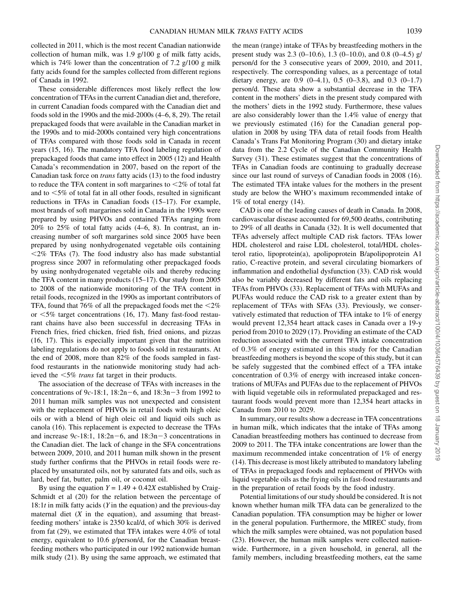collected in 2011, which is the most recent Canadian nationwide collection of human milk, was 1.9 g/100 g of milk fatty acids, which is 74% lower than the concentration of 7.2 g/100 g milk fatty acids found for the samples collected from different regions of Canada in 1992.

These considerable differences most likely reflect the low concentration of TFAs in the current Canadian diet and, therefore, in current Canadian foods compared with the Canadian diet and foods sold in the 1990s and the mid-2000s (4–6, 8, 29). The retail prepackaged foods that were available in the Canadian market in the 1990s and to mid-2000s contained very high concentrations of TFAs compared with those foods sold in Canada in recent years (15, 16). The mandatory TFA food labeling regulation of prepackaged foods that came into effect in 2005 (12) and Health Canada's recommendation in 2007, based on the report of the Canadian task force on trans fatty acids (13) to the food industry to reduce the TFA content in soft margarines to  $\leq 2\%$  of total fat and to  $<$  5% of total fat in all other foods, resulted in significant reductions in TFAs in Canadian foods (15–17). For example, most brands of soft margarines sold in Canada in the 1990s were prepared by using PHVOs and contained TFAs ranging from 20% to 25% of total fatty acids (4–6, 8). In contrast, an increasing number of soft margarines sold since 2005 have been prepared by using nonhydrogenated vegetable oils containing  $<$  2% TFAs (7). The food industry also has made substantial progress since 2007 in reformulating other prepackaged foods by using nonhydrogenated vegetable oils and thereby reducing the TFA content in many products (15–17). Our study from 2005 to 2008 of the nationwide monitoring of the TFA content in retail foods, recognized in the 1990s as important contributors of TFA, found that 76% of all the prepackaged foods met the  $\leq 2\%$ or  $\leq 5\%$  target concentrations (16, 17). Many fast-food restaurant chains have also been successful in decreasing TFAs in French fries, fried chicken, fried fish, fried onions, and pizzas (16, 17). This is especially important given that the nutrition labeling regulations do not apply to foods sold in restaurants. At the end of 2008, more than 82% of the foods sampled in fastfood restaurants in the nationwide monitoring study had achieved the  $\leq 5\%$  trans fat target in their products.

The association of the decrease of TFAs with increases in the concentrations of 9c-18:1,  $18:2n-6$ , and  $18:3n-3$  from 1992 to 2011 human milk samples was not unexpected and consistent with the replacement of PHVOs in retail foods with high oleic oils or with a blend of high oleic oil and liquid oils such as canola (16). This replacement is expected to decrease the TFAs and increase  $9c-18:1$ ,  $18:2n-6$ , and  $18:3n-3$  concentrations in the Canadian diet. The lack of change in the SFA concentrations between 2009, 2010, and 2011 human milk shown in the present study further confirms that the PHVOs in retail foods were replaced by unsaturated oils, not by saturated fats and oils, such as lard, beef fat, butter, palm oil, or coconut oil.

By using the equation  $Y = 1.49 + 0.42X$  established by Craig-Schmidt et al  $(20)$  for the relation between the percentage of 18:1 $t$  in milk fatty acids (*Y* in the equation) and the previous-day maternal diet  $(X$  in the equation), and assuming that breastfeeding mothers' intake is 2350 kcal/d, of which 30% is derived from fat (29), we estimated that TFA intakes were 4.0% of total energy, equivalent to 10.6 g/person/d, for the Canadian breastfeeding mothers who participated in our 1992 nationwide human milk study (21). By using the same approach, we estimated that

the mean (range) intake of TFAs by breastfeeding mothers in the present study was 2.3 (0–10.6), 1.3 (0–10.0), and 0.8 (0–4.5) g/ person/d for the 3 consecutive years of 2009, 2010, and 2011, respectively. The corresponding values, as a percentage of total dietary energy, are  $0.9$   $(0-4.1)$ ,  $0.5$   $(0-3.8)$ , and  $0.3$   $(0-1.7)$ person/d. These data show a substantial decrease in the TFA content in the mothers' diets in the present study compared with the mothers' diets in the 1992 study. Furthermore, these values are also considerably lower than the 1.4% value of energy that we previously estimated (16) for the Canadian general population in 2008 by using TFA data of retail foods from Health Canada's Trans Fat Monitoring Program (30) and dietary intake data from the 2.2 Cycle of the Canadian Community Health Survey (31). These estimates suggest that the concentrations of TFAs in Canadian foods are continuing to gradually decrease since our last round of surveys of Canadian foods in 2008 (16). The estimated TFA intake values for the mothers in the present study are below the WHO's maximum recommended intake of 1% of total energy (14).

CAD is one of the leading causes of death in Canada. In 2008, cardiovascular disease accounted for 69,500 deaths, contributing to 29% of all deaths in Canada (32). It is well documented that TFAs adversely affect multiple CAD risk factors. TFAs lower HDL cholesterol and raise LDL cholesterol, total/HDL cholesterol ratio, lipoprotein(a), apolipoprotein B/apolipoprotein A1 ratio, C-reactive protein, and several circulating biomarkers of inflammation and endothelial dysfunction (33). CAD risk would also be variably decreased by different fats and oils replacing TFAs from PHVOs (33). Replacement of TFAs with MUFAs and PUFAs would reduce the CAD risk to a greater extent than by replacement of TFAs with SFAs (33). Previously, we conservatively estimated that reduction of TFA intake to 1% of energy would prevent 12,354 heart attack cases in Canada over a 19-y period from 2010 to 2029 (17). Providing an estimate of the CAD reduction associated with the current TFA intake concentration of 0.3% of energy estimated in this study for the Canadian breastfeeding mothers is beyond the scope of this study, but it can be safely suggested that the combined effect of a TFA intake concentration of 0.3% of energy with increased intake concentrations of MUFAs and PUFAs due to the replacement of PHVOs with liquid vegetable oils in reformulated prepackaged and restaurant foods would prevent more than 12,354 heart attacks in Canada from 2010 to 2029.

In summary, our results show a decrease in TFA concentrations in human milk, which indicates that the intake of TFAs among Canadian breastfeeding mothers has continued to decrease from 2009 to 2011. The TFA intake concentrations are lower than the maximum recommended intake concentration of 1% of energy (14). This decrease is most likely attributed to mandatory labeling of TFAs in prepackaged foods and replacement of PHVOs with liquid vegetable oils as the frying oils in fast-food restaurants and in the preparation of retail foods by the food industry.

Potential limitations of our study should be considered. It is not known whether human milk TFA data can be generalized to the Canadian population. TFA consumption may be higher or lower in the general population. Furthermore, the MIREC study, from which the milk samples were obtained, was not population based (23). However, the human milk samples were collected nationwide. Furthermore, in a given household, in general, all the family members, including breastfeeding mothers, eat the same